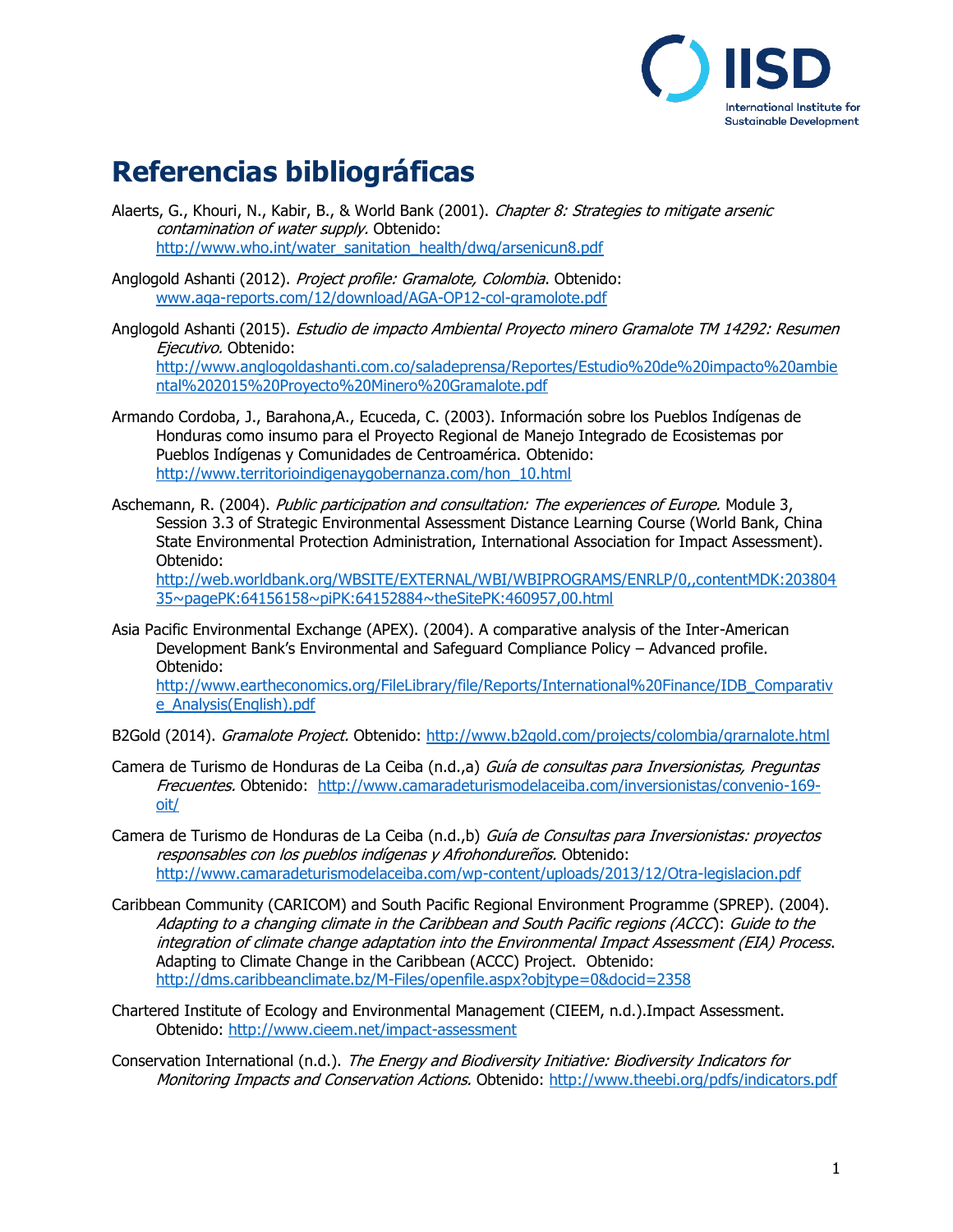

## **Referencias bibliográficas**

Alaerts, G., Khouri, N., Kabir, B., & World Bank (2001). Chapter 8: Strategies to mitigate arsenic contamination of water supply. Obtenido: [http://www.who.int/water\\_sanitation\\_health/dwq/arsenicun8.pdf](http://www.who.int/water_sanitation_health/dwq/arsenicun8.pdf)

Anglogold Ashanti (2012). Project profile: Gramalote, Colombia. Obtenido: [www.aga-reports.com/12/download/AGA-OP12-col-gramolote.pdf](http://www.aga-reports.com/12/download/AGA-OP12-col-gramolote.pdf)

Anglogold Ashanti (2015). Estudio de impacto Ambiental Proyecto minero Gramalote TM 14292: Resumen Ejecutivo. Obtenido: [http://www.anglogoldashanti.com.co/saladeprensa/Reportes/Estudio%20de%20impacto%20ambie](http://www.anglogoldashanti.com.co/saladeprensa/Reportes/Estudio%20de%20impacto%20ambiental%202015%20Proyecto%20Minero%20Gramalote.pdf) [ntal%202015%20Proyecto%20Minero%20Gramalote.pdf](http://www.anglogoldashanti.com.co/saladeprensa/Reportes/Estudio%20de%20impacto%20ambiental%202015%20Proyecto%20Minero%20Gramalote.pdf)

- Armando Cordoba, J., Barahona,A., Ecuceda, C. (2003). Información sobre los Pueblos Indígenas de Honduras como insumo para el Proyecto Regional de Manejo Integrado de Ecosistemas por Pueblos Indígenas y Comunidades de Centroamérica. Obtenido: [http://www.territorioindigenaygobernanza.com/hon\\_10.html](http://www.territorioindigenaygobernanza.com/hon_10.html)
- Aschemann, R. (2004). Public participation and consultation: The experiences of Europe. Module 3, Session 3.3 of Strategic Environmental Assessment Distance Learning Course (World Bank, China State Environmental Protection Administration, International Association for Impact Assessment). Obtenido:

[http://web.worldbank.org/WBSITE/EXTERNAL/WBI/WBIPROGRAMS/ENRLP/0,,contentMDK:203804](http://web.worldbank.org/WBSITE/EXTERNAL/WBI/WBIPROGRAMS/ENRLP/0,,contentMDK:20380435~pagePK:64156158~piPK:64152884~theSitePK:460957,00.html) [35~pagePK:64156158~piPK:64152884~theSitePK:460957,00.html](http://web.worldbank.org/WBSITE/EXTERNAL/WBI/WBIPROGRAMS/ENRLP/0,,contentMDK:20380435~pagePK:64156158~piPK:64152884~theSitePK:460957,00.html)

- Asia Pacific Environmental Exchange (APEX). (2004). A comparative analysis of the Inter-American Development Bank's Environmental and Safeguard Compliance Policy – Advanced profile. Obtenido: [http://www.eartheconomics.org/FileLibrary/file/Reports/International%20Finance/IDB\\_Comparativ](http://www.eartheconomics.org/FileLibrary/file/Reports/International%20Finance/IDB_Comparative_Analysis(English).pdf) [e\\_Analysis\(English\).pdf](http://www.eartheconomics.org/FileLibrary/file/Reports/International%20Finance/IDB_Comparative_Analysis(English).pdf)
- B2Gold (2014). Gramalote Project. Obtenido: <http://www.b2gold.com/projects/colombia/grarnalote.html>
- Camera de Turismo de Honduras de La Ceiba (n.d.,a) Guía de consultas para Inversionistas, Preguntas Frecuentes. Obtenido: [http://www.camaradeturismodelaceiba.com/inversionistas/convenio-169](http://www.camaradeturismodelaceiba.com/inversionistas/convenio-169-oit/) [oit/](http://www.camaradeturismodelaceiba.com/inversionistas/convenio-169-oit/)
- Camera de Turismo de Honduras de La Ceiba (n.d.,b) Guía de Consultas para Inversionistas: proyectos responsables con los pueblos indígenas y Afrohondureños. Obtenido: <http://www.camaradeturismodelaceiba.com/wp-content/uploads/2013/12/Otra-legislacion.pdf>
- Caribbean Community (CARICOM) and South Pacific Regional Environment Programme (SPREP). (2004). Adapting to a changing climate in the Caribbean and South Pacific regions (ACCC): Guide to the integration of climate change adaptation into the Environmental Impact Assessment (EIA) Process. Adapting to Climate Change in the Caribbean (ACCC) Project. Obtenido: <http://dms.caribbeanclimate.bz/M-Files/openfile.aspx?objtype=0&docid=2358>
- Chartered Institute of Ecology and Environmental Management (CIEEM, n.d.).Impact Assessment. Obtenido: <http://www.cieem.net/impact-assessment>

Conservation International (n.d.). The Energy and Biodiversity Initiative: Biodiversity Indicators for Monitoring Impacts and Conservation Actions. Obtenido: <http://www.theebi.org/pdfs/indicators.pdf>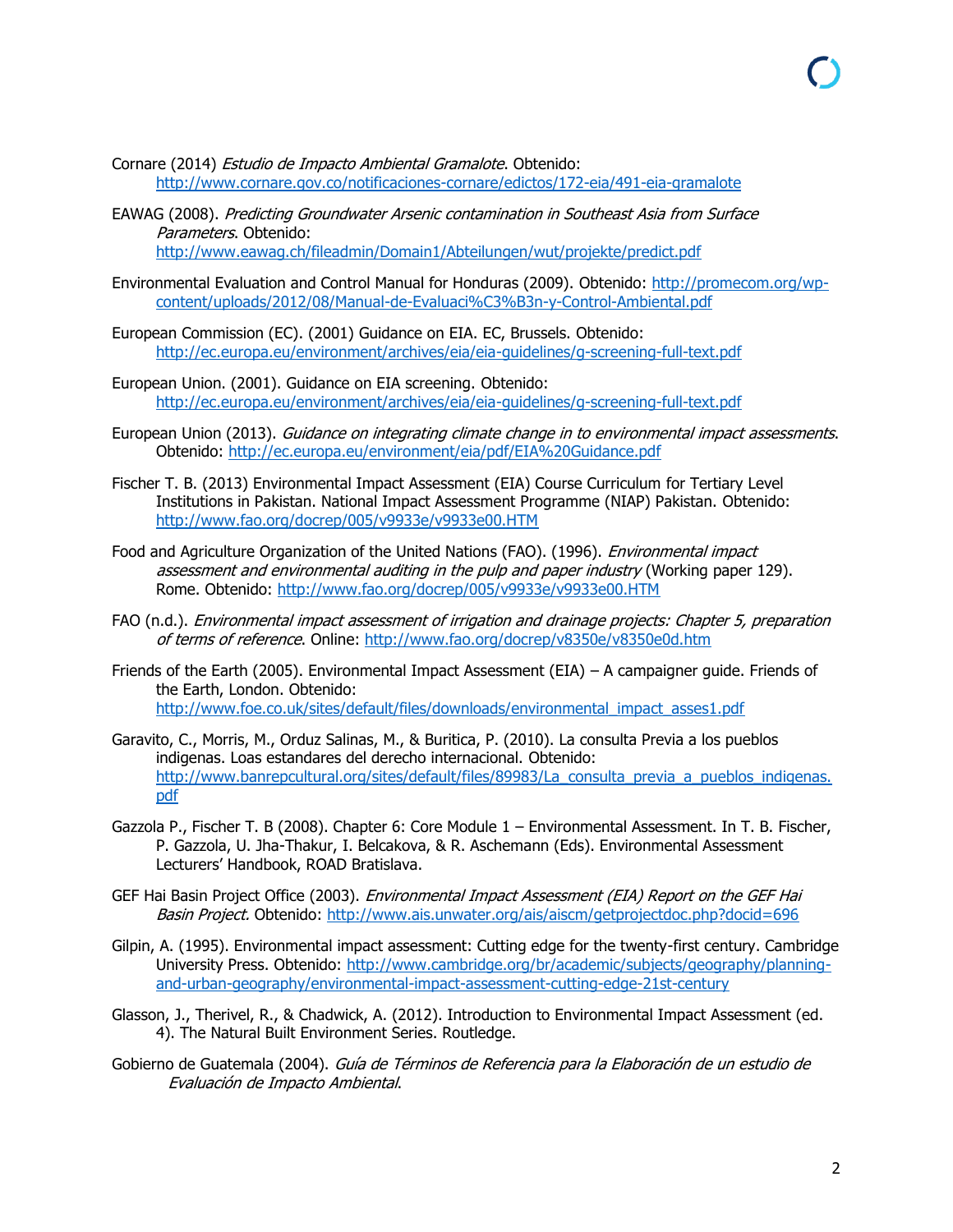- Cornare (2014) Estudio de Impacto Ambiental Gramalote. Obtenido: <http://www.cornare.gov.co/notificaciones-cornare/edictos/172-eia/491-eia-gramalote>
- EAWAG (2008). Predicting Groundwater Arsenic contamination in Southeast Asia from Surface Parameters. Obtenido:

<http://www.eawag.ch/fileadmin/Domain1/Abteilungen/wut/projekte/predict.pdf>

- Environmental Evaluation and Control Manual for Honduras (2009). Obtenido: [http://promecom.org/wp](http://promecom.org/wp-content/uploads/2012/08/Manual-de-Evaluaci%C3%B3n-y-Control-Ambiental.pdf)[content/uploads/2012/08/Manual-de-Evaluaci%C3%B3n-y-Control-Ambiental.pdf](http://promecom.org/wp-content/uploads/2012/08/Manual-de-Evaluaci%C3%B3n-y-Control-Ambiental.pdf)
- European Commission (EC). (2001) Guidance on EIA. EC, Brussels. Obtenido: <http://ec.europa.eu/environment/archives/eia/eia-guidelines/g-screening-full-text.pdf>
- European Union. (2001). Guidance on EIA screening. Obtenido: <http://ec.europa.eu/environment/archives/eia/eia-guidelines/g-screening-full-text.pdf>
- European Union (2013). Guidance on integrating climate change in to environmental impact assessments. Obtenido: <http://ec.europa.eu/environment/eia/pdf/EIA%20Guidance.pdf>
- Fischer T. B. (2013) Environmental Impact Assessment (EIA) Course Curriculum for Tertiary Level Institutions in Pakistan. National Impact Assessment Programme (NIAP) Pakistan. Obtenido: <http://www.fao.org/docrep/005/v9933e/v9933e00.HTM>
- Food and Agriculture Organization of the United Nations (FAO). (1996). *Environmental impact* assessment and environmental auditing in the pulp and paper industry (Working paper 129). Rome. Obtenido: <http://www.fao.org/docrep/005/v9933e/v9933e00.HTM>
- FAO (n.d.). Environmental impact assessment of irrigation and drainage projects: Chapter 5, preparation of terms of reference. Online:<http://www.fao.org/docrep/v8350e/v8350e0d.htm>
- Friends of the Earth (2005). Environmental Impact Assessment (EIA) A campaigner guide. Friends of the Earth, London. Obtenido: [http://www.foe.co.uk/sites/default/files/downloads/environmental\\_impact\\_asses1.pdf](http://www.foe.co.uk/sites/default/files/downloads/environmental_impact_asses1.pdf)
- Garavito, C., Morris, M., Orduz Salinas, M., & Buritica, P. (2010). La consulta Previa a los pueblos indigenas. Loas estandares del derecho internacional. Obtenido: [http://www.banrepcultural.org/sites/default/files/89983/La\\_consulta\\_previa\\_a\\_pueblos\\_indigenas.](http://www.banrepcultural.org/sites/default/files/89983/La_consulta_previa_a_pueblos_indigenas.pdf) [pdf](http://www.banrepcultural.org/sites/default/files/89983/La_consulta_previa_a_pueblos_indigenas.pdf)
- Gazzola P., Fischer T. B (2008). Chapter 6: Core Module 1 Environmental Assessment. In T. B. Fischer, P. Gazzola, U. Jha-Thakur, I. Belcakova, & R. Aschemann (Eds). Environmental Assessment Lecturers' Handbook, ROAD Bratislava.
- GEF Hai Basin Project Office (2003). Environmental Impact Assessment (EIA) Report on the GEF Hai Basin Project. Obtenido: <http://www.ais.unwater.org/ais/aiscm/getprojectdoc.php?docid=696>
- Gilpin, A. (1995). Environmental impact assessment: Cutting edge for the twenty-first century. Cambridge University Press. Obtenido: [http://www.cambridge.org/br/academic/subjects/geography/planning](http://www.cambridge.org/br/academic/subjects/geography/planning-and-urban-geography/environmental-impact-assessment-cutting-edge-21st-century)[and-urban-geography/environmental-impact-assessment-cutting-edge-21st-century](http://www.cambridge.org/br/academic/subjects/geography/planning-and-urban-geography/environmental-impact-assessment-cutting-edge-21st-century)
- Glasson, J., Therivel, R., & Chadwick, A. (2012). Introduction to Environmental Impact Assessment (ed. 4). The Natural Built Environment Series. Routledge.
- Gobierno de Guatemala (2004). Guía de Términos de Referencia para la Elaboración de un estudio de Evaluación de Impacto Ambiental.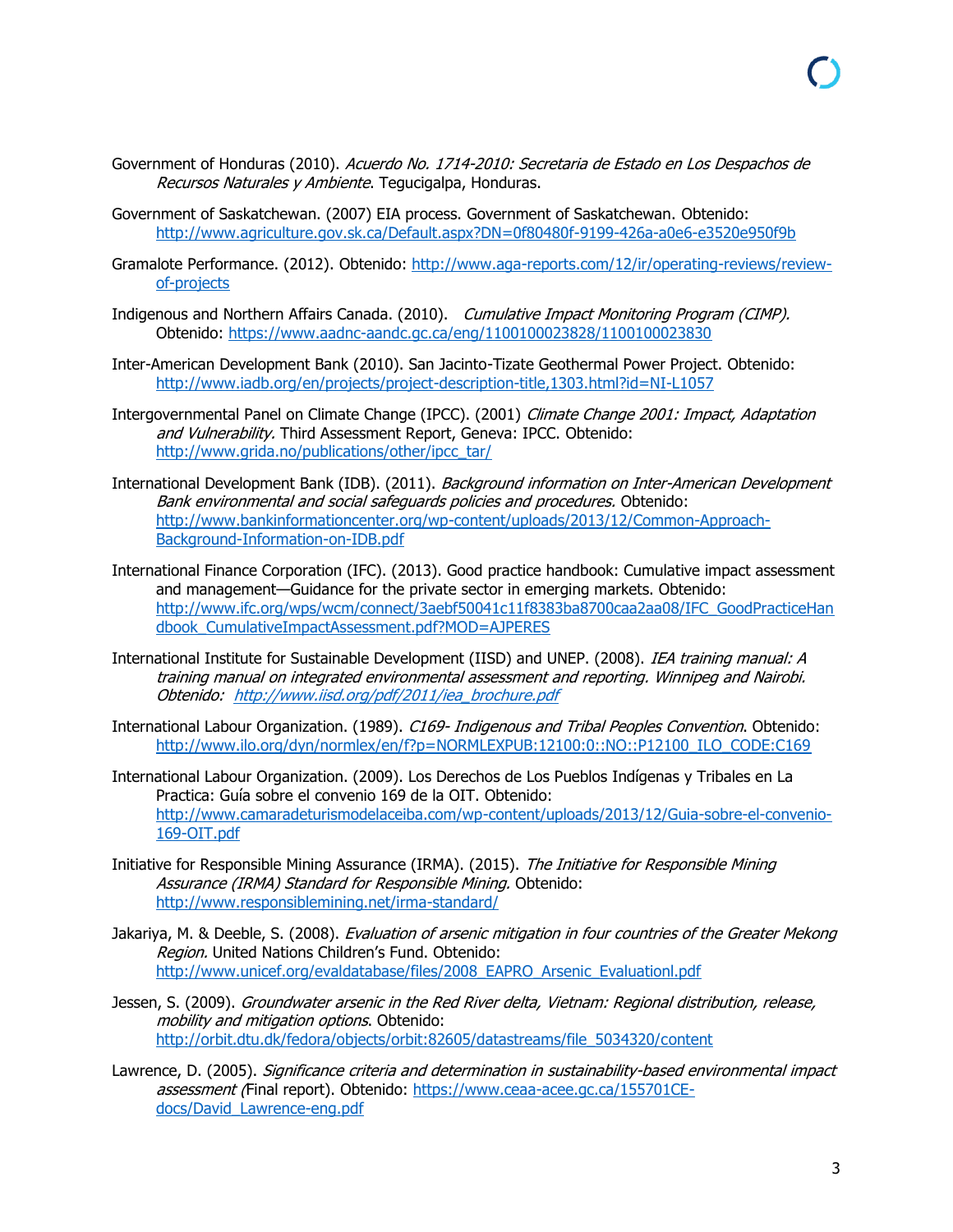- Government of Honduras (2010). Acuerdo No. 1714-2010: Secretaria de Estado en Los Despachos de Recursos Naturales y Ambiente. Tequcigalpa, Honduras.
- Government of Saskatchewan. (2007) EIA process. Government of Saskatchewan. Obtenido: <http://www.agriculture.gov.sk.ca/Default.aspx?DN=0f80480f-9199-426a-a0e6-e3520e950f9b>
- Gramalote Performance. (2012). Obtenido: [http://www.aga-reports.com/12/ir/operating-reviews/review](http://www.aga-reports.com/12/ir/operating-reviews/review-of-projects)[of-projects](http://www.aga-reports.com/12/ir/operating-reviews/review-of-projects)
- Indigenous and Northern Affairs Canada. (2010). Cumulative Impact Monitoring Program (CIMP). Obtenido: <https://www.aadnc-aandc.gc.ca/eng/1100100023828/1100100023830>
- Inter-American Development Bank (2010). San Jacinto-Tizate Geothermal Power Project. Obtenido: <http://www.iadb.org/en/projects/project-description-title,1303.html?id=NI-L1057>
- Intergovernmental Panel on Climate Change (IPCC). (2001) Climate Change 2001: Impact, Adaptation and Vulnerability. Third Assessment Report, Geneva: IPCC. Obtenido: [http://www.grida.no/publications/other/ipcc\\_tar/](http://www.grida.no/publications/other/ipcc_tar/)
- International Development Bank (IDB). (2011). Background information on Inter-American Development Bank environmental and social safeguards policies and procedures. Obtenido: [http://www.bankinformationcenter.org/wp-content/uploads/2013/12/Common-Approach-](http://www.bankinformationcenter.org/wp-content/uploads/2013/12/Common-Approach-Background-Information-on-IDB.pdf)[Background-Information-on-IDB.pdf](http://www.bankinformationcenter.org/wp-content/uploads/2013/12/Common-Approach-Background-Information-on-IDB.pdf)
- International Finance Corporation (IFC). (2013). Good practice handbook: Cumulative impact assessment and management—Guidance for the private sector in emerging markets. Obtenido: [http://www.ifc.org/wps/wcm/connect/3aebf50041c11f8383ba8700caa2aa08/IFC\\_GoodPracticeHan](http://www.ifc.org/wps/wcm/connect/3aebf50041c11f8383ba8700caa2aa08/IFC_GoodPracticeHandbook_CumulativeImpactAssessment.pdf?MOD=AJPERES) [dbook\\_CumulativeImpactAssessment.pdf?MOD=AJPERES](http://www.ifc.org/wps/wcm/connect/3aebf50041c11f8383ba8700caa2aa08/IFC_GoodPracticeHandbook_CumulativeImpactAssessment.pdf?MOD=AJPERES)
- International Institute for Sustainable Development (IISD) and UNEP. (2008). IEA training manual: A training manual on integrated environmental assessment and reporting. Winnipeg and Nairobi. Obtenido: http://www.iisd.org/pdf/2011/iea brochure.pdf
- International Labour Organization. (1989). C169- Indigenous and Tribal Peoples Convention. Obtenido: [http://www.ilo.org/dyn/normlex/en/f?p=NORMLEXPUB:12100:0::NO::P12100\\_ILO\\_CODE:C169](http://www.ilo.org/dyn/normlex/en/f?p=NORMLEXPUB:12100:0::NO::P12100_ILO_CODE:C169)
- International Labour Organization. (2009). Los Derechos de Los Pueblos Indígenas y Tribales en La Practica: Guía sobre el convenio 169 de la OIT. Obtenido: [http://www.camaradeturismodelaceiba.com/wp-content/uploads/2013/12/Guia-sobre-el-convenio-](http://www.camaradeturismodelaceiba.com/wp-content/uploads/2013/12/Guia-sobre-el-convenio-169-OIT.pdf)[169-OIT.pdf](http://www.camaradeturismodelaceiba.com/wp-content/uploads/2013/12/Guia-sobre-el-convenio-169-OIT.pdf)
- Initiative for Responsible Mining Assurance (IRMA). (2015). The Initiative for Responsible Mining Assurance (IRMA) Standard for Responsible Mining. Obtenido: <http://www.responsiblemining.net/irma-standard/>
- Jakariya, M. & Deeble, S. (2008). Evaluation of arsenic mitigation in four countries of the Greater Mekong Region. United Nations Children's Fund. Obtenido: [http://www.unicef.org/evaldatabase/files/2008\\_EAPRO\\_Arsenic\\_Evaluationl.pdf](http://www.unicef.org/evaldatabase/files/2008_EAPRO_Arsenic_Evaluationl.pdf)
- Jessen, S. (2009). Groundwater arsenic in the Red River delta, Vietnam: Regional distribution, release, mobility and mitigation options. Obtenido: [http://orbit.dtu.dk/fedora/objects/orbit:82605/datastreams/file\\_5034320/content](http://orbit.dtu.dk/fedora/objects/orbit:82605/datastreams/file_5034320/content)
- Lawrence, D. (2005). Significance criteria and determination in sustainability-based environmental impact assessment (Final report). Obtenido: [https://www.ceaa-acee.gc.ca/155701CE](https://www.ceaa-acee.gc.ca/155701CE-docs/David_Lawrence-eng.pdf)[docs/David\\_Lawrence-eng.pdf](https://www.ceaa-acee.gc.ca/155701CE-docs/David_Lawrence-eng.pdf)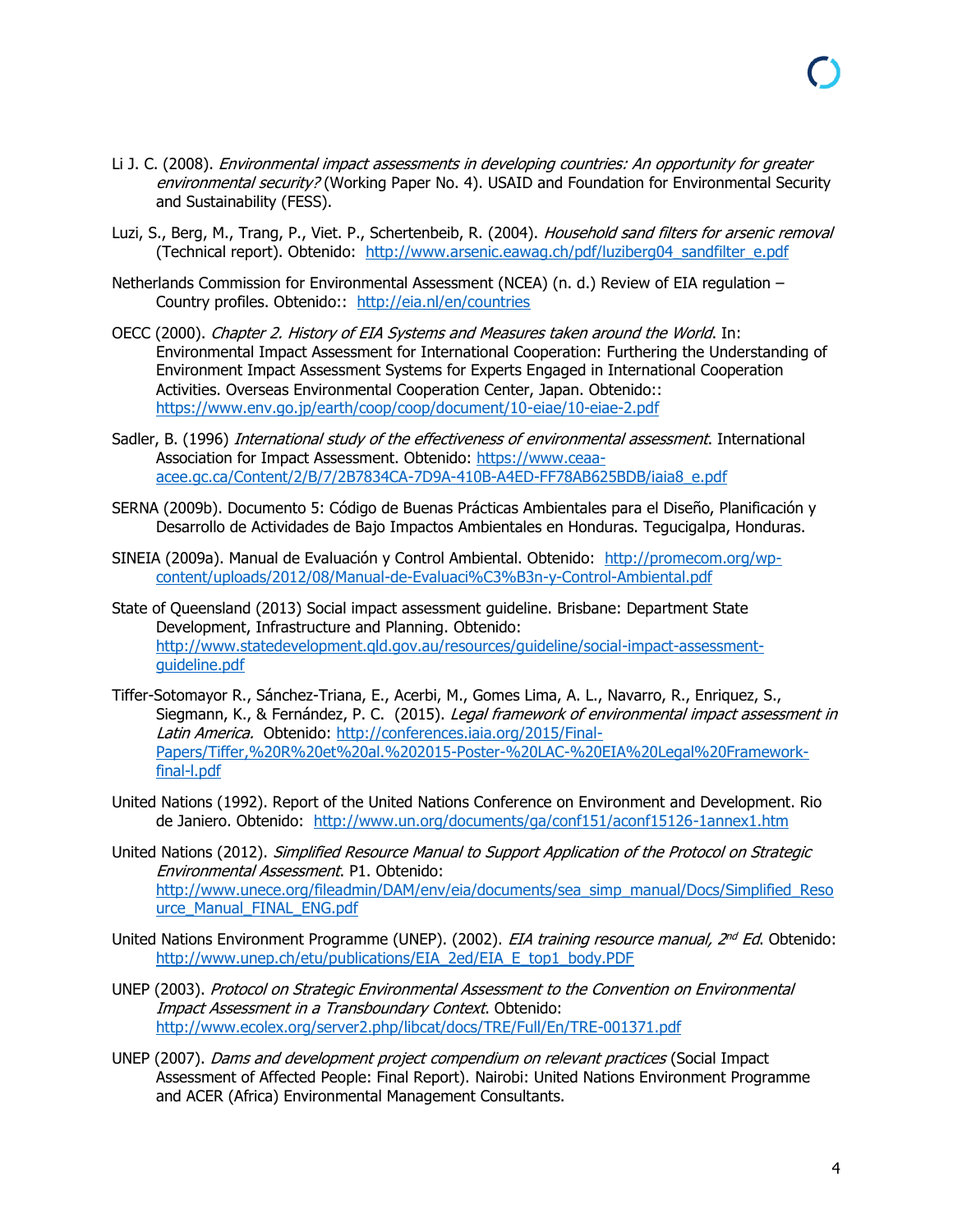- Li J. C. (2008). *Environmental impact assessments in developing countries: An opportunity for greater* environmental security? (Working Paper No. 4). USAID and Foundation for Environmental Security and Sustainability (FESS).
- Luzi, S., Berg, M., Trang, P., Viet. P., Schertenbeib, R. (2004). Household sand filters for arsenic removal (Technical report). Obtenido: [http://www.arsenic.eawag.ch/pdf/luziberg04\\_sandfilter\\_e.pdf](http://www.arsenic.eawag.ch/pdf/luziberg04_sandfilter_e.pdf)
- Netherlands Commission for Environmental Assessment (NCEA) (n. d.) Review of EIA regulation Country profiles. Obtenido:: http://eia.nl/en/countries
- OECC (2000). Chapter 2. History of EIA Systems and Measures taken around the World. In: Environmental Impact Assessment for International Cooperation: Furthering the Understanding of Environment Impact Assessment Systems for Experts Engaged in International Cooperation Activities. Overseas Environmental Cooperation Center, Japan. Obtenido:: <https://www.env.go.jp/earth/coop/coop/document/10-eiae/10-eiae-2.pdf>
- Sadler, B. (1996) International study of the effectiveness of environmental assessment. International Association for Impact Assessment. Obtenido: [https://www.ceaa](https://www.ceaa-acee.gc.ca/Content/2/B/7/2B7834CA-7D9A-410B-A4ED-FF78AB625BDB/iaia8_e.pdf)[acee.gc.ca/Content/2/B/7/2B7834CA-7D9A-410B-A4ED-FF78AB625BDB/iaia8\\_e.pdf](https://www.ceaa-acee.gc.ca/Content/2/B/7/2B7834CA-7D9A-410B-A4ED-FF78AB625BDB/iaia8_e.pdf)
- SERNA (2009b). Documento 5: Código de Buenas Prácticas Ambientales para el Diseño, Planificación y Desarrollo de Actividades de Bajo Impactos Ambientales en Honduras. Tegucigalpa, Honduras.
- SINEIA (2009a). Manual de Evaluación y Control Ambiental. Obtenido: [http://promecom.org/wp](http://promecom.org/wp-content/uploads/2012/08/Manual-de-Evaluaci%C3%B3n-y-Control-Ambiental.pdf)[content/uploads/2012/08/Manual-de-Evaluaci%C3%B3n-y-Control-Ambiental.pdf](http://promecom.org/wp-content/uploads/2012/08/Manual-de-Evaluaci%C3%B3n-y-Control-Ambiental.pdf)
- State of Queensland (2013) Social impact assessment guideline. Brisbane: Department State Development, Infrastructure and Planning. Obtenido: [http://www.statedevelopment.qld.gov.au/resources/guideline/social-impact-assessment](http://www.statedevelopment.qld.gov.au/resources/guideline/social-impact-assessment-guideline.pdf)[guideline.pdf](http://www.statedevelopment.qld.gov.au/resources/guideline/social-impact-assessment-guideline.pdf)
- Tiffer-Sotomayor R., Sánchez-Triana, E., Acerbi, M., Gomes Lima, A. L., Navarro, R., Enriquez, S., Siegmann, K., & Fernández, P. C. (2015). Legal framework of environmental impact assessment in Latin America. Obtenido: [http://conferences.iaia.org/2015/Final-](http://conferences.iaia.org/2015/Final-Papers/Tiffer,%20R%20et%20al.%202015-Poster-%20LAC-%20EIA%20Legal%20Framework-final-l.pdf)[Papers/Tiffer,%20R%20et%20al.%202015-Poster-%20LAC-%20EIA%20Legal%20Framework](http://conferences.iaia.org/2015/Final-Papers/Tiffer,%20R%20et%20al.%202015-Poster-%20LAC-%20EIA%20Legal%20Framework-final-l.pdf)[final-l.pdf](http://conferences.iaia.org/2015/Final-Papers/Tiffer,%20R%20et%20al.%202015-Poster-%20LAC-%20EIA%20Legal%20Framework-final-l.pdf)
- United Nations (1992). Report of the United Nations Conference on Environment and Development. Rio de Janiero. Obtenido: <http://www.un.org/documents/ga/conf151/aconf15126-1annex1.htm>
- United Nations (2012). Simplified Resource Manual to Support Application of the Protocol on Strategic Environmental Assessment. P1. Obtenido: [http://www.unece.org/fileadmin/DAM/env/eia/documents/sea\\_simp\\_manual/Docs/Simplified\\_Reso](http://www.unece.org/fileadmin/DAM/env/eia/documents/sea_simp_manual/Docs/Simplified_Resource_Manual_FINAL_ENG.pdf) [urce\\_Manual\\_FINAL\\_ENG.pdf](http://www.unece.org/fileadmin/DAM/env/eia/documents/sea_simp_manual/Docs/Simplified_Resource_Manual_FINAL_ENG.pdf)
- United Nations Environment Programme (UNEP). (2002). *EIA training resource manual, 2<sup>nd</sup> Ed*. Obtenido: [http://www.unep.ch/etu/publications/EIA\\_2ed/EIA\\_E\\_top1\\_body.PDF](http://www.unep.ch/etu/publications/EIA_2ed/EIA_E_top1_body.PDF)
- UNEP (2003). Protocol on Strategic Environmental Assessment to the Convention on Environmental Impact Assessment in a Transboundary Context. Obtenido: <http://www.ecolex.org/server2.php/libcat/docs/TRE/Full/En/TRE-001371.pdf>
- UNEP (2007). Dams and development project compendium on relevant practices (Social Impact Assessment of Affected People: Final Report). Nairobi: United Nations Environment Programme and ACER (Africa) Environmental Management Consultants.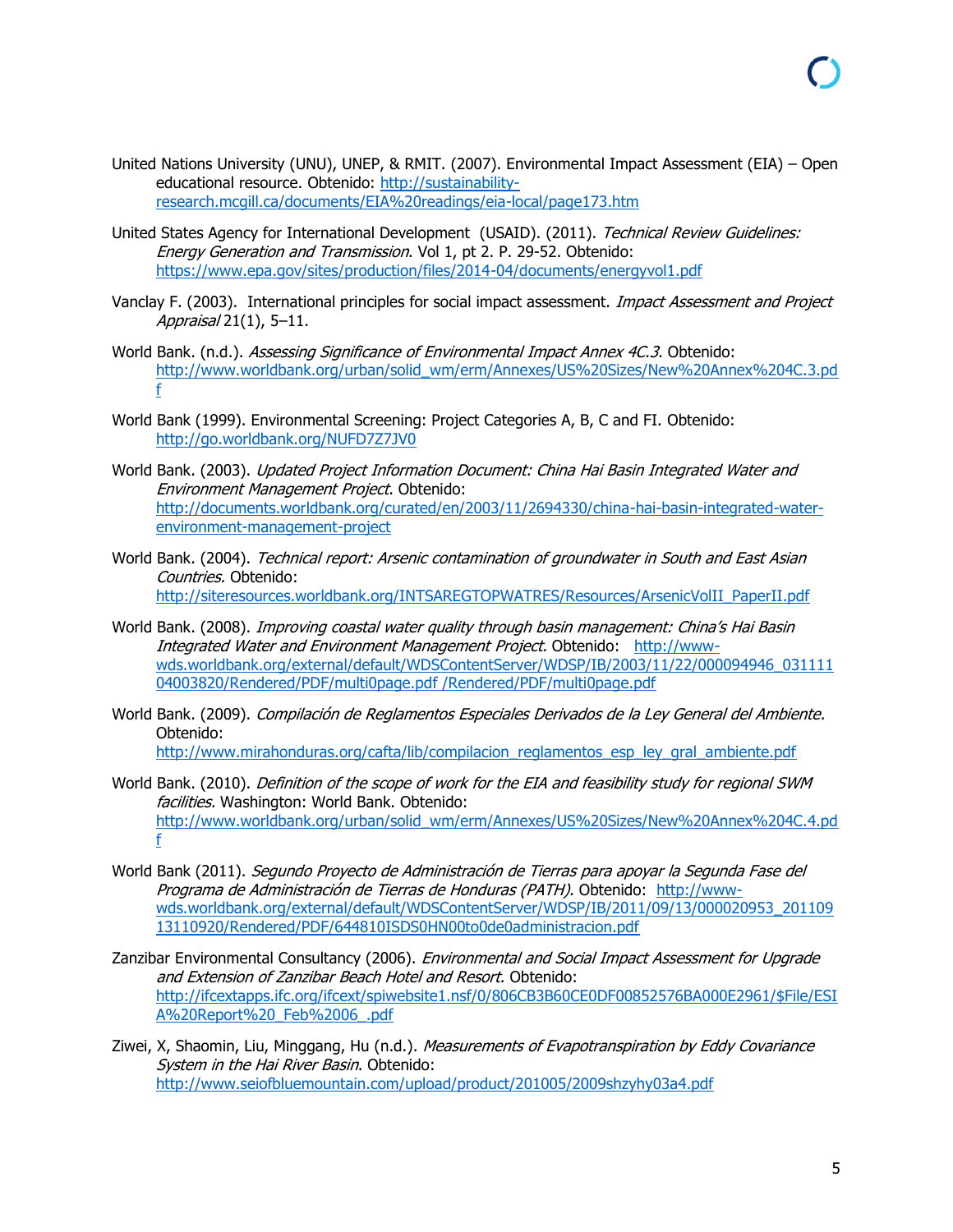- United Nations University (UNU), UNEP, & RMIT. (2007). Environmental Impact Assessment (EIA) Open educational resource. Obtenido: [http://sustainability](http://sustainability-research.mcgill.ca/documents/EIA%20readings/eia-local/page173.htm)[research.mcgill.ca/documents/EIA%20readings/eia-local/page173.htm](http://sustainability-research.mcgill.ca/documents/EIA%20readings/eia-local/page173.htm)
- United States Agency for International Development (USAID). (2011). Technical Review Guidelines: Energy Generation and Transmission. Vol 1, pt 2. P. 29-52. Obtenido: <https://www.epa.gov/sites/production/files/2014-04/documents/energyvol1.pdf>
- Vanclay F. (2003). International principles for social impact assessment. *Impact Assessment and Project* Appraisal 21(1), 5–11.
- World Bank. (n.d.). Assessing Significance of Environmental Impact Annex 4C.3. Obtenido: [http://www.worldbank.org/urban/solid\\_wm/erm/Annexes/US%20Sizes/New%20Annex%204C.3.pd](http://www.worldbank.org/urban/solid_wm/erm/Annexes/US%20Sizes/New%20Annex%204C.3.pdf) [f](http://www.worldbank.org/urban/solid_wm/erm/Annexes/US%20Sizes/New%20Annex%204C.3.pdf)
- World Bank (1999). Environmental Screening: Project Categories A, B, C and FI. Obtenido: <http://go.worldbank.org/NUFD7Z7JV0>
- World Bank. (2003). Updated Project Information Document: China Hai Basin Integrated Water and Environment Management Project. Obtenido: [http://documents.worldbank.org/curated/en/2003/11/2694330/china-hai-basin-integrated-water](http://documents.worldbank.org/curated/en/2003/11/2694330/china-hai-basin-integrated-water-environment-management-project)[environment-management-project](http://documents.worldbank.org/curated/en/2003/11/2694330/china-hai-basin-integrated-water-environment-management-project)
- World Bank. (2004). Technical report: Arsenic contamination of groundwater in South and East Asian Countries. Obtenido: [http://siteresources.worldbank.org/INTSAREGTOPWATRES/Resources/ArsenicVolII\\_PaperII.pdf](http://siteresources.worldbank.org/INTSAREGTOPWATRES/Resources/ArsenicVolII_PaperII.pdf)
- World Bank. (2008). *Improving coastal water quality through basin management: China's Hai Basin* Integrated Water and Environment Management Project. Obtenido: [http://www](http://www-wds.worldbank.org/external/default/WDSContentServer/WDSP/IB/2003/11/22/000094946_03111104003820/Rendered/PDF/multi0page.pdf%20/Rendered/PDF/multi0page.pdf)[wds.worldbank.org/external/default/WDSContentServer/WDSP/IB/2003/11/22/000094946\\_031111](http://www-wds.worldbank.org/external/default/WDSContentServer/WDSP/IB/2003/11/22/000094946_03111104003820/Rendered/PDF/multi0page.pdf%20/Rendered/PDF/multi0page.pdf) [04003820/Rendered/PDF/multi0page.pdf /Rendered/PDF/multi0page.pdf](http://www-wds.worldbank.org/external/default/WDSContentServer/WDSP/IB/2003/11/22/000094946_03111104003820/Rendered/PDF/multi0page.pdf%20/Rendered/PDF/multi0page.pdf)
- World Bank. (2009). Compilación de Reglamentos Especiales Derivados de la Ley General del Ambiente. Obtenido: [http://www.mirahonduras.org/cafta/lib/compilacion\\_reglamentos\\_esp\\_ley\\_gral\\_ambiente.pdf](http://www.mirahonduras.org/cafta/lib/compilacion_reglamentos_esp_ley_gral_ambiente.pdf)
- World Bank. (2010). Definition of the scope of work for the EIA and feasibility study for regional SWM facilities. Washington: World Bank. Obtenido: [http://www.worldbank.org/urban/solid\\_wm/erm/Annexes/US%20Sizes/New%20Annex%204C.4.pd](http://www.worldbank.org/urban/solid_wm/erm/Annexes/US%20Sizes/New%20Annex%204C.4.pdf) [f](http://www.worldbank.org/urban/solid_wm/erm/Annexes/US%20Sizes/New%20Annex%204C.4.pdf)
- World Bank (2011). Segundo Proyecto de Administración de Tierras para apoyar la Segunda Fase del Programa de Administración de Tierras de Honduras (PATH). Obtenido: [http://www](http://www-wds.worldbank.org/external/default/WDSContentServer/WDSP/IB/2011/09/13/000020953_20110913110920/Rendered/PDF/644810ISDS0HN00to0de0administracion.pdf)[wds.worldbank.org/external/default/WDSContentServer/WDSP/IB/2011/09/13/000020953\\_201109](http://www-wds.worldbank.org/external/default/WDSContentServer/WDSP/IB/2011/09/13/000020953_20110913110920/Rendered/PDF/644810ISDS0HN00to0de0administracion.pdf) [13110920/Rendered/PDF/644810ISDS0HN00to0de0administracion.pdf](http://www-wds.worldbank.org/external/default/WDSContentServer/WDSP/IB/2011/09/13/000020953_20110913110920/Rendered/PDF/644810ISDS0HN00to0de0administracion.pdf)
- Zanzibar Environmental Consultancy (2006). Environmental and Social Impact Assessment for Upgrade and Extension of Zanzibar Beach Hotel and Resort. Obtenido: [http://ifcextapps.ifc.org/ifcext/spiwebsite1.nsf/0/806CB3B60CE0DF00852576BA000E2961/\\$File/ESI](http://ifcextapps.ifc.org/ifcext/spiwebsite1.nsf/0/806CB3B60CE0DF00852576BA000E2961/$File/ESIA%20Report%20_Feb%2006_.pdf) [A%20Report%20\\_Feb%2006\\_.pdf](http://ifcextapps.ifc.org/ifcext/spiwebsite1.nsf/0/806CB3B60CE0DF00852576BA000E2961/$File/ESIA%20Report%20_Feb%2006_.pdf)
- Ziwei, X, Shaomin, Liu, Minggang, Hu (n.d.). Measurements of Evapotranspiration by Eddy Covariance System in the Hai River Basin. Obtenido: <http://www.seiofbluemountain.com/upload/product/201005/2009shzyhy03a4.pdf>